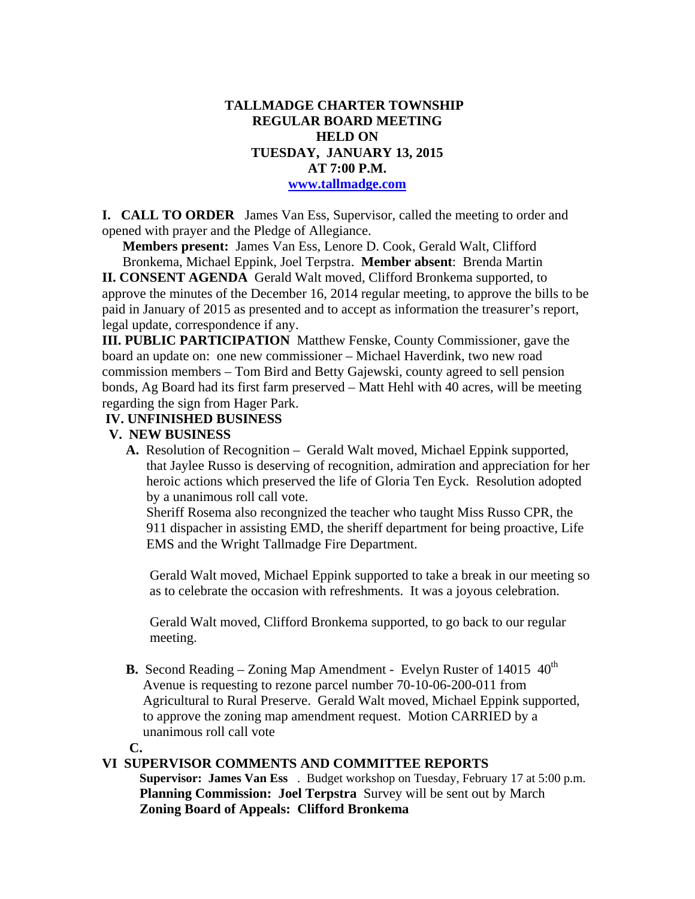### **TALLMADGE CHARTER TOWNSHIP REGULAR BOARD MEETING HELD ON TUESDAY, JANUARY 13, 2015 AT 7:00 P.M. www.tallmadge.com**

**I. CALL TO ORDER** James Van Ess, Supervisor, called the meeting to order and opened with prayer and the Pledge of Allegiance.

**Members present:** James Van Ess, Lenore D. Cook, Gerald Walt, Clifford Bronkema, Michael Eppink, Joel Terpstra. **Member absent**: Brenda Martin

**II. CONSENT AGENDA** Gerald Walt moved, Clifford Bronkema supported, to approve the minutes of the December 16, 2014 regular meeting, to approve the bills to be paid in January of 2015 as presented and to accept as information the treasurer's report, legal update, correspondence if any.

**III. PUBLIC PARTICIPATION** Matthew Fenske, County Commissioner, gave the board an update on: one new commissioner – Michael Haverdink, two new road commission members – Tom Bird and Betty Gajewski, county agreed to sell pension bonds, Ag Board had its first farm preserved – Matt Hehl with 40 acres, will be meeting regarding the sign from Hager Park.

### **IV. UNFINISHED BUSINESS**

#### **V. NEW BUSINESS**

 **A.** Resolution of Recognition – Gerald Walt moved, Michael Eppink supported, that Jaylee Russo is deserving of recognition, admiration and appreciation for her heroic actions which preserved the life of Gloria Ten Eyck. Resolution adopted by a unanimous roll call vote.

 Sheriff Rosema also recongnized the teacher who taught Miss Russo CPR, the 911 dispacher in assisting EMD, the sheriff department for being proactive, Life EMS and the Wright Tallmadge Fire Department.

 Gerald Walt moved, Michael Eppink supported to take a break in our meeting so as to celebrate the occasion with refreshments. It was a joyous celebration.

 Gerald Walt moved, Clifford Bronkema supported, to go back to our regular meeting.

**B.** Second Reading – Zoning Map Amendment - Evelyn Ruster of 14015 40<sup>th</sup> Avenue is requesting to rezone parcel number 70-10-06-200-011 from Agricultural to Rural Preserve. Gerald Walt moved, Michael Eppink supported, to approve the zoning map amendment request. Motion CARRIED by a unanimous roll call vote

**C.** 

## **VI SUPERVISOR COMMENTS AND COMMITTEE REPORTS**

 **Supervisor: James Van Ess** . Budget workshop on Tuesday, February 17 at 5:00 p.m. **Planning Commission: Joel Terpstra** Survey will be sent out by March **Zoning Board of Appeals: Clifford Bronkema**